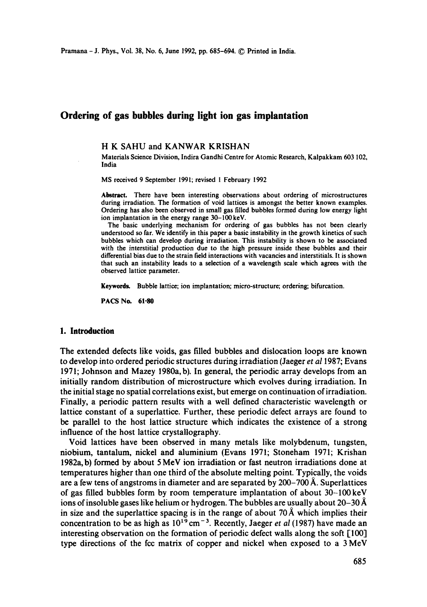# **Ordering of gas bubbles during light ion gas implantation**

# **H K SAHU and KANWAR** KRISHAN

Materials Science Division, Indira Gandhi Centre for Atomic Research, Kalpakkam 603 102, India

MS received 9 September 1991; revised 1 February 1992

**Abstract.** There have been interesting observations about ordering of microstructures during irradiation. The formation of void lattices is amongst the better known examples. Ordering has also been observed in small gas filled bubbles formed during low energy light ion implantation in the energy range 30-100 keV.

The basic underlying mechanism for ordering of gas bubbles has not been clearly understood so far. We identify in this paper a basic instability in the growth kinetics of such bubbles which can develop during irradiation. This instability is shown to be associated with the interstitial production due to the high pressure inside these bubbles and their differential bias due to the strain field interactions with vacancies and interstitials. It is shown **that** such an instability leads to a selection of a wavelength scale which agrees with the observed lattice parameter.

Keywords. Bubble lattice; ion implantation; micro-structure; ordering; bifurcation.

PACS No. 61.80

#### **1. Introduction**

The extended defects like voids, gas filled bubbles and dislocation loops are known to develop into ordered periodic structures during irradiation (Jaeger *et a11987;* Evans 1971; Johnson and Mazey 1980a, b). In general, the periodic array develops from an initially random distribution of microstructure which evolves during irradiation. In the initial stage no spatial correlations exist, but emerge on continuation of irradiation. Finally, a periodic pattern results with a well defined characteristic wavelength or lattice constant of a superlattice. Further, these periodic defect arrays are found to be parallel to the host lattice structure which indicates the existence of a strong influence of the host lattice crystallography.

Void lattices have been observed in many metals like molybdenum, tungsten, niobium, tantalum, nickel and aluminium (Evans 1971; Stoneham 1971; Krishan 1982a, b) formed by about 5 MeV ion irradiation or fast neutron irradiations done at temperatures higher than one third of the absolute melting point. Typically, the voids are a few tens of angstroms in diameter and are separated by  $200-700 \mathrm{Å}$ . Superlattices of gas filled bubbles form by room temperature implantation of about 30-100keV ions of insoluble gases like helium or hydrogen. The bubbles are usually about 20–30 Å in size and the superlattice spacing is in the range of about 70 Å which implies their concentration to be as high as  $10^{19}$  cm<sup>-3</sup>. Recently, Jaeger *et al* (1987) have made an interesting observation on the formation of periodic defect walls along the soft [100] type directions of the fcc matrix of copper and nickel when exposed to a 3 MeV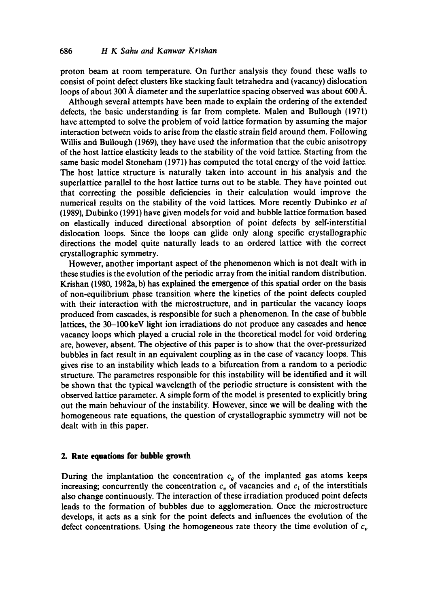proton beam at room temperature. On further analysis they found these walls to consist of point defect dusters like stacking fault tetrahedra and (vacancy) dislocation loops of about 300 Å diameter and the superlattice spacing observed was about 600 Å.

Although several attempts have been made to explain the ordering of the extended defects, the basic understanding is far from complete. Malen and Bullough (1971) have attempted to solve the problem of void lattice formation by assuming the major interaction between voids to arise from the elastic strain field around them. Following Willis and Bullough (1969), they have used the information that the cubic anisotropy of the host lattice elasticity leads to the stability of the void lattice. Starting from the same basic model Stoneham (1971) has computed the total energy of the void lattice. The host lattice structure is naturally taken into account in his analysis and the superlattice parallel to the host lattice turns out to be stable. They have pointed out that correcting the possible deficiencies in their calculation would improve the numerical results on the stability of the void lattices. More recently Dubinko *et al*  (1989), Dubinko (1991) have given models for void and bubble lattice formation based on elastically induced directional absorption of point defects by self-interstitial dislocation loops. Since the loops can glide only along specific crystallographic directions the model quite naturally leads to an ordered lattice with the correct crystallographic symmetry.

However, another important aspect of the phenomenon which is not dealt with in these studies is the evolution of the periodic array from the initial random distribution. Krishan (1980, 1982a, b) has explained the emergence of this spatial order on the basis of non-equilibrium phase transition where the kinetics of the point defects coupled with their interaction with the microstructure, and in particular the vacancy loops produced from cascades, is responsible for such a phenomenon. In the case of bubble lattices, the 30-100keV light ion irradiations do not produce any cascades and hence vacancy loops which played a crucial role in the theoretical model for void ordering are, however, absent. The objective of this paper is to show that the over-pressurized bubbles in fact result in an equivalent coupling as in the case of vacancy loops. This gives rise to an instability which leads to a bifurcation from a random to a periodic structure. The parametres responsible for this instability will be identified and it will be shown that the typical wavelength of the periodic structure is consistent with the observed lattice parameter. A simple form of the model is presented to explicitly bring out the main behaviour of the instability. However, since we will be dealing with the homogeneous rate equations, the question of crystallographic symmetry will not be dealt with in this paper.

#### **2. Rate equations for bubble growth**

During the implantation the concentration  $c<sub>g</sub>$  of the implanted gas atoms keeps increasing; concurrently the concentration  $c<sub>v</sub>$  of vacancies and  $c<sub>i</sub>$  of the interstitials also change continuously. The interaction of these irradiation produced point defects leads to the formation of bubbles due to agglomeration. Once the microstructure develops, it acts as a sink for the point defects and influences the evolution of the defect concentrations. Using the homogeneous rate theory the time evolution of  $c<sub>v</sub>$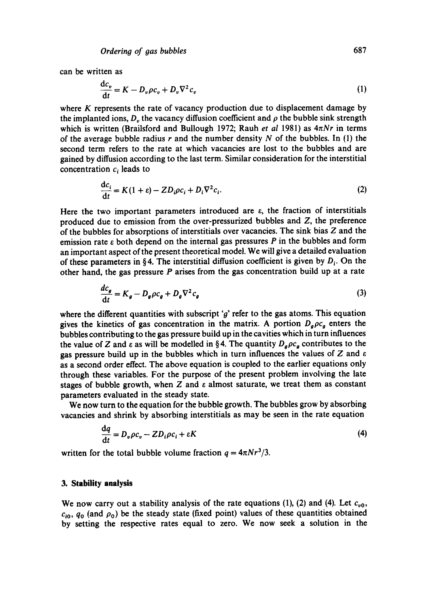can be written as

$$
\frac{dc_v}{dt} = K - D_v \rho c_v + D_v \nabla^2 c_v \tag{1}
$$

where  $K$  represents the rate of vacancy production due to displacement damage by the implanted ions,  $D_n$ , the vacancy diffusion coefficient and  $\rho$  the bubble sink strength which is written (Brailsford and Bullough 1972; Rauh *et al* 1981) as  $4\pi Nr$  in terms of the average bubble radius r and the number density N of the bubbles. In (1) the second term refers to the rate at which vacancies are lost to the bubbles and are gained by diffusion according to the last term. Similar consideration for the interstitial concentration  $c_i$  leads to

$$
\frac{dc_i}{dt} = K(1 + \varepsilon) - ZD_i\rho c_i + D_i \nabla^2 c_i.
$$
 (2)

Here the two important parameters introduced are  $\varepsilon$ , the fraction of interstitials produced due to emission from the over-pressurized bubbles and Z, the preference of the bubbles for absorptions of interstitials over vacancies. The sink bias Z and the emission rate  $\varepsilon$  both depend on the internal gas pressures P in the bubbles and form an important aspect of the present theoretical model. We will give a detailed evaluation of these parameters in §4. The interstitial diffusion coefficient is given by  $D_i$ . On the other hand, the gas pressure  $P$  arises from the gas concentration build up at a rate

$$
\frac{dc_g}{dt} = K_g - D_g \rho c_g + D_g \nabla^2 c_g \tag{3}
$$

where the different quantities with subscript ' $g$ ' refer to the gas atoms. This equation gives the kinetics of gas concentration in the matrix. A portion  $D_q \rho c_q$  enters the bubbles contributing to the gas pressure build up in the cavities which in turn influences the value of Z and  $\epsilon$  as will be modelled in §4. The quantity  $D_q \rho c_g$  contributes to the gas pressure build up in the bubbles which in turn influences the values of Z and  $\varepsilon$ as a second order effect. The above equation is coupled to the earlier equations only through these variables. For the purpose of the present problem involving the late stages of bubble growth, when Z and  $\varepsilon$  almost saturate, we treat them as constant parameters evaluated in the steady state.

We now turn to the equation for the bubble growth. The bubbles grow by absorbing vacancies and shrink by absorbing interstitials as may be seen in the rate equation

$$
\frac{\mathrm{d}q}{\mathrm{d}t} = D_v \rho c_v - Z D_i \rho c_i + \varepsilon K \tag{4}
$$

written for the total bubble volume fraction  $q = 4\pi N r^3/3$ .

#### **3. Stability analysis**

We now carry out a stability analysis of the rate equations (1), (2) and (4). Let  $c_{\nu 0}$ ,  $c_{i0}$ ,  $q_0$  (and  $\rho_0$ ) be the steady state (fixed point) values of these quantities obtained by setting the respective rates equal to zero. We now seek a solution in the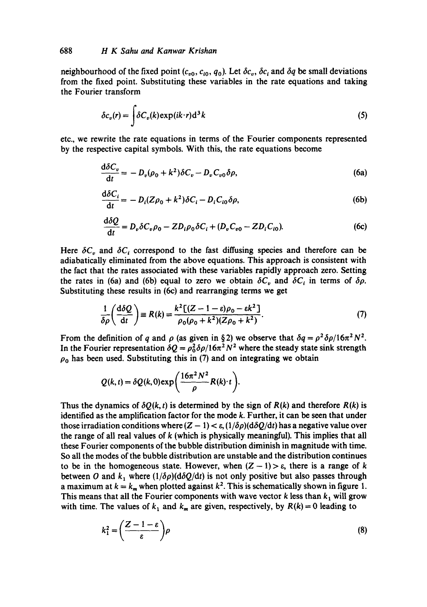neighbourhood of the fixed point  $(c_{v0}, c_{i0}, q_0)$ . Let  $\delta c_v$ ,  $\delta c_i$  and  $\delta q$  be small deviations from the fixed point. Substituting these variables in the rate equations and taking the Fourier transform

$$
\delta c_v(r) = \int \delta C_v(k) \exp(ik \cdot r) d^3k \tag{5}
$$

etc., we rewrite the rate equations in terms of the Fourier components represented by the respective capital symbols. With this, the rate equations become

$$
\frac{\mathrm{d}\delta C_v}{\mathrm{d}t} = -D_v(\rho_0 + k^2)\delta C_v - D_v C_{v0}\delta\rho,\tag{6a}
$$

$$
\frac{\mathrm{d}\delta C_i}{\mathrm{d}t} = -D_i (Z\rho_0 + k^2) \delta C_i - D_i C_{i0} \delta \rho, \tag{6b}
$$

$$
\frac{\mathrm{d}\delta Q}{\mathrm{d}t} = D_v \delta C_v \rho_0 - Z D_i \rho_0 \delta C_i + (D_v C_{v0} - Z D_i C_{i0}).\tag{6c}
$$

Here  $\delta C_v$  and  $\delta C_i$  correspond to the fast diffusing species and therefore can be adiabatically eliminated from the above equations. This approach is consistent with the fact that the rates associated with these variables rapidly approach zero. Setting the rates in (6a) and (6b) equal to zero we obtain  $\delta C_v$  and  $\delta C_i$  in terms of  $\delta \rho$ . Substituting these results in (6c) and rearranging terms we get

$$
\frac{1}{\delta \rho} \left( \frac{\mathrm{d}\delta Q}{\mathrm{d}t} \right) \equiv R(k) = \frac{k^2 \left[ (Z - 1 - \varepsilon)\rho_0 - \varepsilon k^2 \right]}{\rho_0 (\rho_0 + k^2)(Z\rho_0 + k^2)}.
$$
\n(7)

From the definition of q and  $\rho$  (as given in § 2) we observe that  $\delta q = \rho^2 \delta \rho / 16\pi^2 N^2$ . In the Fourier representation  $\delta Q = \rho_0^2 \delta \rho / 16\pi^2 N^2$  where the steady state sink strength  $\rho_0$  has been used. Substituting this in (7) and on integrating we obtain

$$
Q(k,t) = \delta Q(k,0) \exp\bigg(\frac{16\pi^2 N^2}{\rho} R(k) \cdot t\bigg).
$$

Thus the dynamics of  $\delta Q(k, t)$  is determined by the sign of  $R(k)$  and therefore  $R(k)$  is identified as the amplification factor for the mode k. Further, it can be seen that under those irradiation conditions where  $(Z - 1) < \varepsilon$ ,  $(1/\delta \rho)(d\delta Q/dt)$  has a negative value over the range of all real values of  $k$  (which is physically meaningful). This implies that all these Fourier components of the bubble distribution diminish in magnitude with time. So all the modes of the bubble distribution are unstable and the distribution continues to be in the homogeneous state. However, when  $(Z - 1) > \varepsilon$ , there is a range of k between O and  $k_1$  where  $(1/\delta \rho)(d\delta Q/dt)$  is not only positive but also passes through a maximum at  $k = k_m$  when plotted against  $k^2$ . This is schematically shown in figure 1. This means that all the Fourier components with wave vector  $k$  less than  $k_1$  will grow with time. The values of  $k_1$  and  $k_m$  are given, respectively, by  $R(k) = 0$  leading to

$$
k_1^2 = \left(\frac{Z - 1 - \varepsilon}{\varepsilon}\right) \rho \tag{8}
$$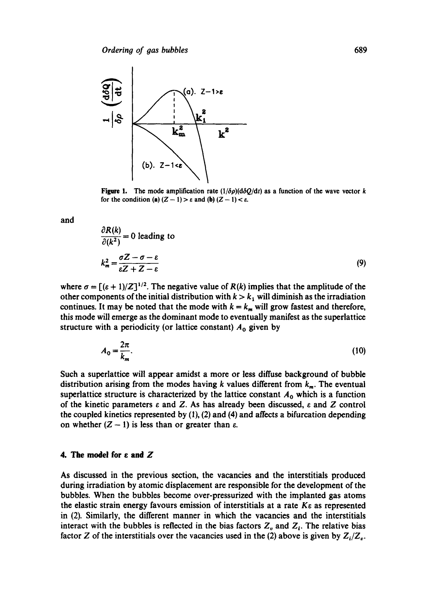

Figure 1. The mode amplification rate  $(1/\delta \rho)(d\delta Q/dt)$  as a function of the wave vector k for the condition (a)  $(Z - 1) > \varepsilon$  and (b)  $(Z - 1) < \varepsilon$ .

and

$$
\frac{\partial K(\kappa)}{\partial (k^2)} = 0 \text{ leading to}
$$
\n
$$
k_m^2 = \frac{\sigma Z - \sigma - \varepsilon}{\varepsilon Z + Z - \varepsilon}
$$
\n(9)

where  $\sigma = [(\varepsilon + 1)/Z]^{1/2}$ . The negative value of  $R(k)$  implies that the amplitude of the other components of the initial distribution with  $k > k_1$  will diminish as the irradiation continues. It may be noted that the mode with  $k = k_m$  will grow fastest and therefore, this mode will emerge as the dominant mode to eventually manifest as the superlattice structure with a periodicity (or lattice constant)  $A_0$  given by

$$
A_0 = \frac{2\pi}{k_m}.\tag{10}
$$

Such a supeflattice will appear amidst a more or less diffuse background of bubble distribution arising from the modes having k values different from  $k_m$ . The eventual superlattice structure is characterized by the lattice constant  $A_0$  which is a function of the kinetic parameters  $\varepsilon$  and Z. As has already been discussed,  $\varepsilon$  and Z control the coupled kinetics represented by  $(1)$ ,  $(2)$  and  $(4)$  and affects a bifurcation depending on whether  $(Z - 1)$  is less than or greater than  $\varepsilon$ .

# **4. The model for**  $\varepsilon$  **and**  $Z$

As discussed in the previous section, the vacancies and the interstitials produced during irradiation by atomic displacement are responsible for the development of the bubbles. When the bubbles become over-pressurized with the implanted gas atoms the elastic strain energy favours emission of interstitials at a rate  $K_{\epsilon}$  as represented in (2). Similarly, the different manner in which the vacancies and the interstitials interact with the bubbles is reflected in the bias factors  $Z_{\nu}$  and  $Z_{\nu}$ . The relative bias factor Z of the interstitials over the vacancies used in the (2) above is given by  $Z_i/Z_i$ .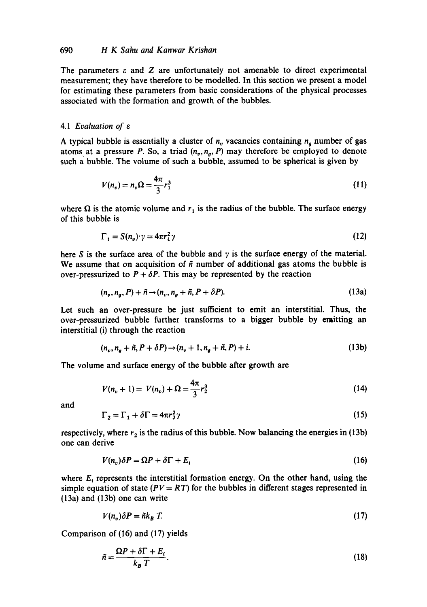The parameters  $\varepsilon$  and  $Z$  are unfortunately not amenable to direct experimental measurement; they have therefore to be modelled. In this section we present a model for estimating these parameters from basic considerations of the physical processes associated with the formation and growth of the bubbles.

# *4.1 Evaluation of e*

A typical bubble is essentially a cluster of  $n<sub>n</sub>$  vacancies containing  $n<sub>a</sub>$  number of gas atoms at a pressure P. So, a triad  $(n_v, n_o, P)$  may therefore be employed to denote such a bubble. The volume of such a bubble, assumed to be spherical is given by

$$
V(n_v) = n_v \Omega = \frac{4\pi}{3} r_1^3
$$
 (11)

where  $\Omega$  is the atomic volume and  $r_1$  is the radius of the bubble. The surface energy of this bubble is

$$
\Gamma_1 = S(n_v) \cdot \gamma = 4\pi r_1^2 \gamma \tag{12}
$$

here S is the surface area of the bubble and  $\gamma$  is the surface energy of the material. We assume that on acquisition of  $~\tilde{n}$  number of additional gas atoms the bubble is over-pressurized to  $P + \delta P$ . This may be represented by the reaction

$$
(n_v, n_a, P) + \tilde{n} \rightarrow (n_v, n_a + \tilde{n}, P + \delta P). \tag{13a}
$$

Let such an over-pressure be just sufficient to emit an interstitial. Thus, the over-pressurized bubble further transforms to a bigger bubble by emitting an interstitial (i) through the reaction

$$
(n_v, n_a + \tilde{n}, P + \delta P) \rightarrow (n_v + 1, n_a + \tilde{n}, P) + i. \tag{13b}
$$

The volume and surface energy of the bubble after growth are

$$
V(n_v + 1) = V(n_v) + \Omega = \frac{4\pi}{3}r_2^3
$$
 (14)

and

$$
\Gamma_2 = \Gamma_1 + \delta \Gamma = 4\pi r_2^2 \gamma \tag{15}
$$

respectively, where  $r_2$  is the radius of this bubble. Now balancing the energies in (13b) one can derive

$$
V(n_v)\delta P = \Omega P + \delta \Gamma + E_i \tag{16}
$$

where  $E_i$  represents the interstitial formation energy. On the other hand, using the simple equation of state  $(PV = RT)$  for the bubbles in different stages represented in (13a) and (13b) one can write

$$
V(n_v)\delta P = \tilde{n}k_B T. \tag{17}
$$

Comparison of (16) and (17) yields

$$
\tilde{n} = \frac{\Omega P + \delta \Gamma + E_i}{k_B T}.
$$
\n(18)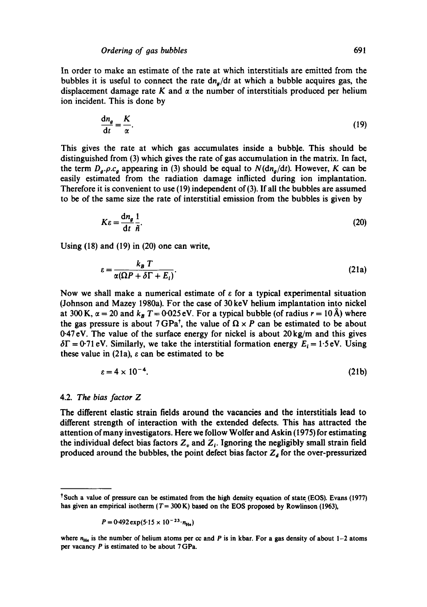In order to make an estimate of the rate at which interstitials are emitted from the bubbles it is useful to connect the rate  $dn_a/dt$  at which a bubble acquires gas, the displacement damage rate K and  $\alpha$  the number of interstitials produced per helium ion incident. This is done by

$$
\frac{\mathrm{d}n_{g}}{\mathrm{d}t} = \frac{K}{\alpha}.\tag{19}
$$

This gives the rate at which gas accumulates inside a bubble. This should be distinguished from (3) which gives the rate of gas accumulation in the matrix. In fact, the term  $D_a$ .  $\rho$ .  $c_a$  appearing in (3) should be equal to  $N(\text{d}n_a/\text{d}t)$ . However, K can be easily estimated from the radiation damage inflicted during ion implantation. Therefore it is convenient to use (19) independent of (3). If all the bubbles are assumed to be of the same size the rate of interstitial emission from the bubbles is given by

$$
K\varepsilon = \frac{\mathrm{d}n_{g}}{\mathrm{d}t}\frac{1}{\tilde{n}}.\tag{20}
$$

Using (18) and (19) in (20) one can write,

$$
\varepsilon = \frac{k_B T}{\alpha (\Omega P + \delta \Gamma + E_i)}.
$$
 (21a)

Now we shall make a numerical estimate of  $\varepsilon$  for a typical experimental situation (Johnson and Mazey 1980a). For the case of 30 keV helium implantation into nickel at 300 K,  $\alpha = 20$  and  $k_B T = 0.025$  eV. For a typical bubble (of radius  $r = 10$  Å) where the gas pressure is about 7 GPa<sup>†</sup>, the value of  $\Omega \times P$  can be estimated to be about 0.47 eV. The value of the surface energy for nickel is about 20 kg/m and this gives  $\delta\Gamma$  = 0.71 eV. Similarly, we take the interstitial formation energy  $E_i = 1.5$  eV. Using these value in (21a),  $\varepsilon$  can be estimated to be

$$
\varepsilon = 4 \times 10^{-4}.
$$
 (21b)

#### 4.2. *The bias factor Z*

The different elastic strain fields around the vacancies and the interstitials lead to different strength of interaction with the extended defects. This has attracted the attention of many investigators. Here we follow Wolfer and Askin (1975) for estimating the individual defect bias factors  $Z_v$  and  $Z_i$ . Ignoring the negligibly small strain field produced around the bubbles, the point defect bias factor  $Z_d$  for the over-pressurized

$$
P = 0.492 \exp(5.15 \times 10^{-23} \cdot n_{\text{He}})
$$

<sup>&</sup>lt;sup>†</sup>Such a value of pressure can be estimated from the high density equation of state (EOS). Evans (1977) has given an empirical isotherm ( $T = 300 \text{ K}$ ) based on the EOS proposed by Rowlinson (1963),

where  $n_{\text{He}}$  is the number of helium atoms per cc and P is in kbar. For a gas density of about 1-2 atoms per vacancy P is estimated to be about 7 GPa.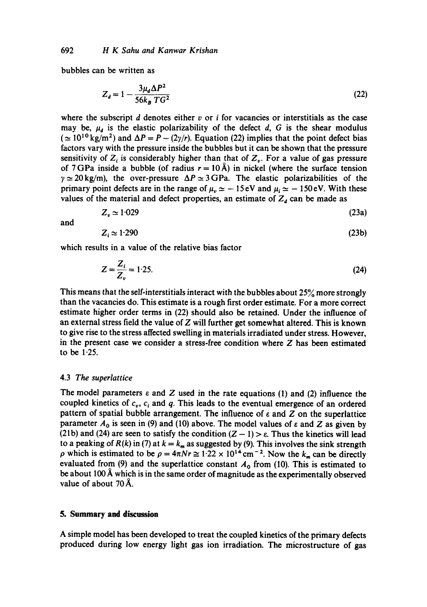bubbles can be written as

$$
Z_d = 1 - \frac{3\mu_d \Delta P^2}{56k_B T G^2}
$$
 (22)

where the subscript d denotes either  $v$  or  $i$  for vacancies or interstitials as the case may be,  $\mu_d$  is the elastic polarizability of the defect d, G is the shear modulus  $(\simeq 10^{10} \text{ kg/m}^2)$  and  $\Delta P = P - (2\gamma/r)$ . Equation (22) implies that the point defect bias factors vary with the pressure inside the bubbles but it can be shown that the pressure sensitivity of  $Z_i$  is considerably higher than that of  $Z_{\nu}$ . For a value of gas pressure of 7 GPa inside a bubble (of radius  $r = 10 \text{ Å}$ ) in nickel (where the surface tension  $\gamma \simeq 20 \text{ kg/m}$ , the over-pressure  $\Delta P \simeq 3 \text{ GPa}$ . The elastic polarizabilities of the primary point defects are in the range of  $\mu_{\nu} \simeq -15 \text{ eV}$  and  $\mu_{\text{i}} \simeq -150 \text{ eV}$ . With these values of the material and defect properties, an estimate of  $Z<sub>d</sub>$  can be made as

$$
Z_v \simeq 1.029\tag{23a}
$$

and

$$
Z_i \simeq 1.290 \tag{23b}
$$

which results in a value of the relative bias factor

$$
Z = \frac{Z_i}{Z_v} = 1.25.
$$
 (24)

This means that the self-interstitials interact with the bubbles about 25% more strongly than the vacancies do. This estimate is a rough first order estimate. For a more correct estimate higher order terms in (22) should also be retained. Under the influence of an external stress field the value of  $Z$  will further get somewhat altered. This is known to give rise to the stress affected swelling in materials irradiated under stress. However, in the present case we consider a stress-free condition where Z has been estimated to be 1-25.

# 4.3 *The superlattice*

The model parameters  $\varepsilon$  and Z used in the rate equations (1) and (2) influence the coupled kinetics of  $c_v$ ,  $c_i$  and q. This leads to the eventual emergence of an ordered pattern of spatial bubble arrangement. The influence of  $\varepsilon$  and  $Z$  on the superlattice parameter  $A_0$  is seen in (9) and (10) above. The model values of  $\varepsilon$  and Z as given by (21b) and (24) are seen to satisfy the condition  $(Z - 1) > \varepsilon$ . Thus the kinetics will lead to a peaking of  $R(k)$  in (7) at  $k = k_m$  as suggested by (9). This involves the sink strength  $\rho$  which is estimated to be  $\rho = 4\pi N r \approx 1.22 \times 10^{14} \text{ cm}^{-2}$ . Now the  $k_m$  can be directly evaluated from (9) and the superlattice constant  $A_0$  from (10). This is estimated to be about 100 Å which is in the same order of magnitude as the experimentally observed value of about  $70 \text{ Å}$ .

# **5. Summary and discussion**

A simple model has been developed to treat the coupled kinetics of the primary defects produced during low energy light gas ion irradiation. The microstructure of gas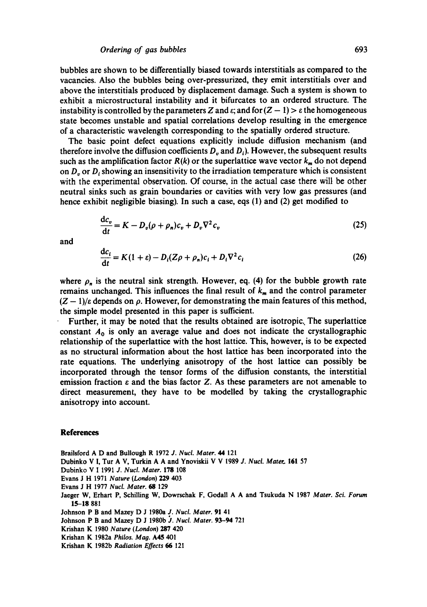bubbles are shown to be differentially biased towards interstitials as compared to the vacancies. Also the bubbles being over-pressurized, they emit interstitials over and above the interstitials produced by displacement damage. Such a system is shown to exhibit a microstructural instability and it bifurcates to an ordered structure. The instability is controlled by the parameters Z and  $\varepsilon$ ; and for  $(Z - 1) > \varepsilon$  the homogeneous state becomes unstable and spatial correlations develop resulting in the emergence of a characteristic wavelength corresponding to the spatially ordered structure.

The basic point defect equations explicitly include diffusion mechanism (and therefore involve the diffusion coefficients  $D<sub>n</sub>$  and  $D<sub>i</sub>$ ). However, the subsequent results such as the amplification factor  $R(k)$  or the superlattice wave vector  $k_m$  do not depend on  $D_n$  or  $D_i$ , showing an insensitivity to the irradiation temperature which is consistent with the experimental observation. Of course, in the actual case there will be other neutral sinks such as grain boundaries or cavities with very low gas pressures (and hence exhibit negligible biasing). In such a case, eqs (1) and (2) get modified to

$$
\frac{dc_v}{dt} = K - D_v(\rho + \rho_n)c_v + D_v\nabla^2 c_v
$$
\n(25)

and

$$
\frac{dc_i}{dt} = K(1+\varepsilon) - D_i(Z\rho + \rho_n)c_i + D_i\nabla^2 c_i
$$
\n(26)

where  $\rho_n$  is the neutral sink strength. However, eq. (4) for the bubble growth rate remains unchanged. This influences the final result of  $k_m$  and the control parameter  $(Z - 1)/\varepsilon$  depends on  $\rho$ . However, for demonstrating the main features of this method, the simple model presented in this paper is sufficient.

Further, it may be noted that the results obtained are isotropic. The superlattice constant  $A_0$  is only an average value and does not indicate the crystallographic relationship of the superlattice with the host lattice. This, however, is to be expected as no structural information about the host lattice has been incorporated into the rate equations. The underlying anisotropy of the host lattice can possibly be incorporated through the tensor forms of the diffusion constants, the interstitial emission fraction  $\varepsilon$  and the bias factor Z. As these parameters are not amenable to direct measurement, they have to be modelled by taking the crystallographic anisotropy into account.

#### **References**

Brailsford A D and Bullough R 1972 *J. Nucl. Mater. 44* 121

Dubinko V I, Tur A V, Turkin A A and Ynoviskii V V 1989 *J. Nucl. Mater*. 161 57

Dubinko V I 1991 *J. Nuct. Mater.* 17g 108

Evans J H 1971 *Nature (London)* 229 403

Evans J H 1977 *Nucl. Mater. 6g* 129

Jaeger W, Erhart P, Schilling W, Dowrschak F, Godall A A and Tsukuda N 1987 *Mater. Sci. Forum*  15-18 881

Johnson P B and Mazey D J 1980a *J. Nucl. Mater.* 91 41

Johnson P B and Mazey D J 1980b J. *Nucl. Mater.* 93-94 721

Krishan K 1980 *Nature (London)* 287 420

Krishan K 1982a *Philos. Mao. A45 401* 

Krishan K 1982b *Radiation Effects 66* 121